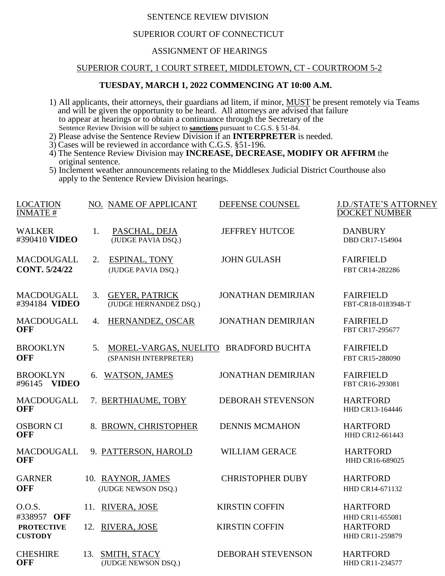# SENTENCE REVIEW DIVISION

# SUPERIOR COURT OF CONNECTICUT

#### ASSIGNMENT OF HEARINGS

### SUPERIOR COURT, 1 COURT STREET, MIDDLETOWN, CT - COURTROOM 5-2

### **TUESDAY, MARCH 1, 2022 COMMENCING AT 10:00 A.M.**

- 1) All applicants, their attorneys, their guardians ad litem, if minor, MUST be present remotely via Teams and will be given the opportunity to be heard. All attorneys are advised that failure to appear at hearings or to obtain a continuance through the Secretary of the Sentence Review Division will be subject to **sanctions** pursuant to C.G.S. § 51-84.
- 2) Please advise the Sentence Review Division if an **INTERPRETER** is needed.
- 3) Cases will be reviewed in accordance with C.G.S. §51-196.
- 4) The Sentence Review Division may **INCREASE, DECREASE, MODIFY OR AFFIRM** the original sentence.
- 5) Inclement weather announcements relating to the Middlesex Judicial District Courthouse also apply to the Sentence Review Division hearings.

| <b>LOCATION</b><br><b>INMATE#</b>   | NO. NAME OF APPLICANT                                                | DEFENSE COUNSEL           | <b>J.D./STATE'S ATTORNEY</b><br><b>DOCKET NUMBER</b> |
|-------------------------------------|----------------------------------------------------------------------|---------------------------|------------------------------------------------------|
| <b>WALKER</b><br>#390410 VIDEO      | PASCHAL, DEJA<br>1.<br>(JUDGE PAVIA DSQ.)                            | <b>JEFFREY HUTCOE</b>     | <b>DANBURY</b><br><b>DBD CR17-154904</b>             |
| <b>MACDOUGALL</b>                   | <b>ESPINAL, TONY</b><br>2.                                           | <b>JOHN GULASH</b>        | <b>FAIRFIELD</b>                                     |
| <b>CONT. 5/24/22</b>                | (JUDGE PAVIA DSQ.)                                                   |                           | FBT CR14-282286                                      |
| <b>MACDOUGALL</b><br>#394184 VIDEO  | <b>GEYER, PATRICK</b><br>3.<br>(JUDGE HERNANDEZ DSQ.)                | <b>JONATHAN DEMIRJIAN</b> | <b>FAIRFIELD</b><br>FBT-CR18-0183948-T               |
| <b>MACDOUGALL</b><br><b>OFF</b>     | HERNANDEZ, OSCAR<br>4.                                               | <b>JONATHAN DEMIRJIAN</b> | <b>FAIRFIELD</b><br>FBT CR17-295677                  |
| <b>BROOKLYN</b><br><b>OFF</b>       | MOREL-VARGAS, NUELITO BRADFORD BUCHTA<br>5.<br>(SPANISH INTERPRETER) |                           | <b>FAIRFIELD</b><br>FBT CR15-288090                  |
| <b>BROOKLYN</b><br>#96145 VIDEO     | <b>WATSON, JAMES</b><br>6.                                           | <b>JONATHAN DEMIRJIAN</b> | <b>FAIRFIELD</b><br>FBT CR16-293081                  |
| <b>MACDOUGALL</b><br><b>OFF</b>     | 7. BERTHIAUME, TOBY                                                  | DEBORAH STEVENSON         | <b>HARTFORD</b><br>HHD CR13-164446                   |
| <b>OSBORN CI</b><br><b>OFF</b>      | 8. BROWN, CHRISTOPHER                                                | <b>DENNIS MCMAHON</b>     | <b>HARTFORD</b><br>HHD CR12-661443                   |
| <b>MACDOUGALL</b><br><b>OFF</b>     | 9. PATTERSON, HAROLD                                                 | <b>WILLIAM GERACE</b>     | <b>HARTFORD</b><br>HHD CR16-689025                   |
| <b>GARNER</b><br><b>OFF</b>         | 10. RAYNOR, JAMES<br>(JUDGE NEWSON DSQ.)                             | <b>CHRISTOPHER DUBY</b>   | <b>HARTFORD</b><br>HHD CR14-671132                   |
| 0.0.S.<br>#338957 OFF               | 11. RIVERA, JOSE                                                     | <b>KIRSTIN COFFIN</b>     | <b>HARTFORD</b><br>HHD CR11-655081                   |
| <b>PROTECTIVE</b><br><b>CUSTODY</b> | 12. RIVERA, JOSE                                                     | <b>KIRSTIN COFFIN</b>     | <b>HARTFORD</b><br>HHD CR11-259879                   |
| <b>CHESHIRE</b><br><b>OFF</b>       | 13. SMITH, STACY<br>(JUDGE NEWSON DSQ.)                              | <b>DEBORAH STEVENSON</b>  | <b>HARTFORD</b><br>HHD CR11-234577                   |